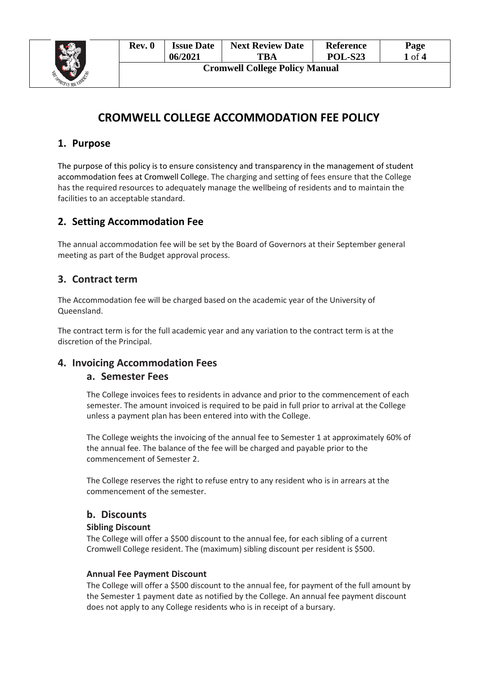

| Rev. 0                                | <b>Issue Date</b> | <b>Next Review Date</b> | <b>Reference</b> | Page   |  |  |  |
|---------------------------------------|-------------------|-------------------------|------------------|--------|--|--|--|
|                                       | 06/2021           | <b>TBA</b>              | <b>POL-S23</b>   | 1 of 4 |  |  |  |
| <b>Cromwell College Policy Manual</b> |                   |                         |                  |        |  |  |  |

# **CROMWELL COLLEGE ACCOMMODATION FEE POLICY**

# **1. Purpose**

The purpose of this policy is to ensure consistency and transparency in the management of student accommodation fees at Cromwell College. The charging and setting of fees ensure that the College has the required resources to adequately manage the wellbeing of residents and to maintain the facilities to an acceptable standard.

# **2. Setting Accommodation Fee**

The annual accommodation fee will be set by the Board of Governors at their September general meeting as part of the Budget approval process.

## **3. Contract term**

The Accommodation fee will be charged based on the academic year of the University of Queensland.

The contract term is for the full academic year and any variation to the contract term is at the discretion of the Principal.

### **4. Invoicing Accommodation Fees**

#### **a. Semester Fees**

The College invoices fees to residents in advance and prior to the commencement of each semester. The amount invoiced is required to be paid in full prior to arrival at the College unless a payment plan has been entered into with the College.

The College weights the invoicing of the annual fee to Semester 1 at approximately 60% of the annual fee. The balance of the fee will be charged and payable prior to the commencement of Semester 2.

The College reserves the right to refuse entry to any resident who is in arrears at the commencement of the semester.

#### **b. Discounts**

#### **Sibling Discount**

The College will offer a \$500 discount to the annual fee, for each sibling of a current Cromwell College resident. The (maximum) sibling discount per resident is \$500.

#### **Annual Fee Payment Discount**

The College will offer a \$500 discount to the annual fee, for payment of the full amount by the Semester 1 payment date as notified by the College. An annual fee payment discount does not apply to any College residents who is in receipt of a bursary.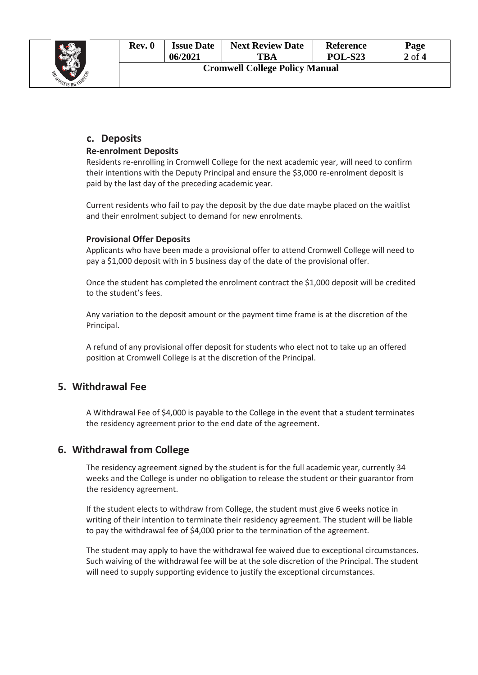

| Rev. 0                                | <b>Issue Date</b> | <b>Next Review Date</b> | <b>Reference</b> | Page     |  |  |  |
|---------------------------------------|-------------------|-------------------------|------------------|----------|--|--|--|
|                                       | 06/2021           | TBA                     | <b>POL-S23</b>   | $2$ of 4 |  |  |  |
| <b>Cromwell College Policy Manual</b> |                   |                         |                  |          |  |  |  |

## **c. Deposits**

#### **Re-enrolment Deposits**

Residents re-enrolling in Cromwell College for the next academic year, will need to confirm their intentions with the Deputy Principal and ensure the \$3,000 re-enrolment deposit is paid by the last day of the preceding academic year.

Current residents who fail to pay the deposit by the due date maybe placed on the waitlist and their enrolment subject to demand for new enrolments.

#### **Provisional Offer Deposits**

Applicants who have been made a provisional offer to attend Cromwell College will need to pay a \$1,000 deposit with in 5 business day of the date of the provisional offer.

Once the student has completed the enrolment contract the \$1,000 deposit will be credited to the student's fees.

Any variation to the deposit amount or the payment time frame is at the discretion of the Principal.

A refund of any provisional offer deposit for students who elect not to take up an offered position at Cromwell College is at the discretion of the Principal.

### **5. Withdrawal Fee**

A Withdrawal Fee of \$4,000 is payable to the College in the event that a student terminates the residency agreement prior to the end date of the agreement.

#### **6. Withdrawal from College**

The residency agreement signed by the student is for the full academic year, currently 34 weeks and the College is under no obligation to release the student or their guarantor from the residency agreement.

If the student elects to withdraw from College, the student must give 6 weeks notice in writing of their intention to terminate their residency agreement. The student will be liable to pay the withdrawal fee of \$4,000 prior to the termination of the agreement.

The student may apply to have the withdrawal fee waived due to exceptional circumstances. Such waiving of the withdrawal fee will be at the sole discretion of the Principal. The student will need to supply supporting evidence to justify the exceptional circumstances.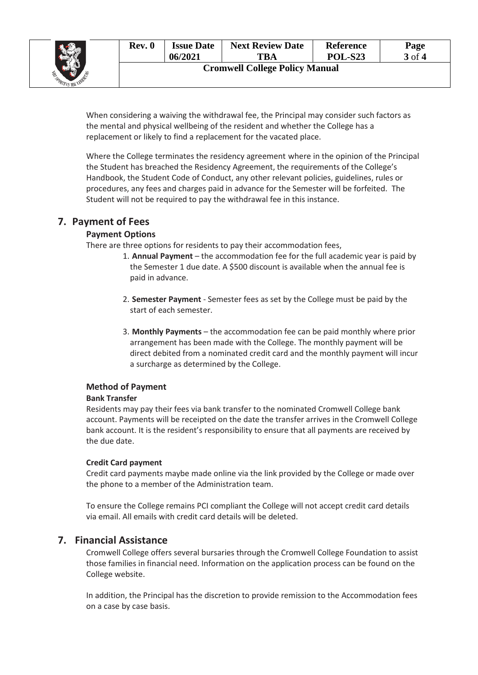

When considering a waiving the withdrawal fee, the Principal may consider such factors as the mental and physical wellbeing of the resident and whether the College has a replacement or likely to find a replacement for the vacated place.

Where the College terminates the residency agreement where in the opinion of the Principal the Student has breached the Residency Agreement, the requirements of the College's Handbook, the Student Code of Conduct, any other relevant policies, guidelines, rules or procedures, any fees and charges paid in advance for the Semester will be forfeited. The Student will not be required to pay the withdrawal fee in this instance.

## **7. Payment of Fees**

#### **Payment Options**

There are three options for residents to pay their accommodation fees,

- 1. **Annual Payment** the accommodation fee for the full academic year is paid by the Semester 1 due date. A \$500 discount is available when the annual fee is paid in advance.
- 2. **Semester Payment** Semester fees as set by the College must be paid by the start of each semester.
- 3. **Monthly Payments** the accommodation fee can be paid monthly where prior arrangement has been made with the College. The monthly payment will be direct debited from a nominated credit card and the monthly payment will incur a surcharge as determined by the College.

#### **Method of Payment**

#### **Bank Transfer**

Residents may pay their fees via bank transfer to the nominated Cromwell College bank account. Payments will be receipted on the date the transfer arrives in the Cromwell College bank account. It is the resident's responsibility to ensure that all payments are received by the due date.

#### **Credit Card payment**

Credit card payments maybe made online via the link provided by the College or made over the phone to a member of the Administration team.

To ensure the College remains PCI compliant the College will not accept credit card details via email. All emails with credit card details will be deleted.

### **7. Financial Assistance**

Cromwell College offers several bursaries through the Cromwell College Foundation to assist those families in financial need. Information on the application process can be found on the College website.

In addition, the Principal has the discretion to provide remission to the Accommodation fees on a case by case basis.